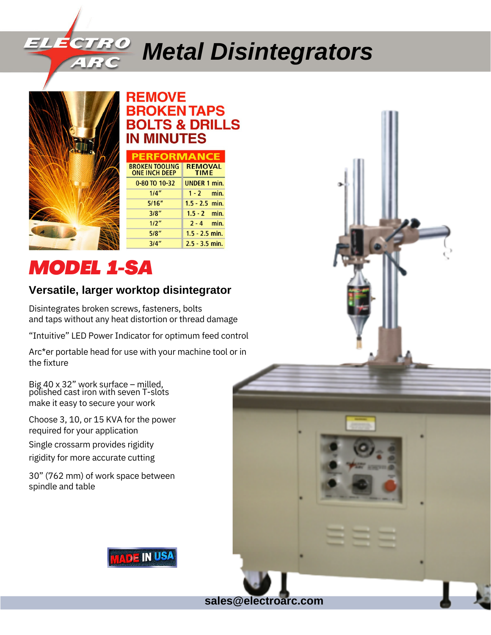# *Metal Disintegrators*



### **REMOVE ROKENTAPS BOLTS & DRILLS IN MINUTES**

| <b>PERFORMANCE</b>                            |                               |  |
|-----------------------------------------------|-------------------------------|--|
| <b>BROKEN TOOLING</b><br><b>ONE INCH DEEP</b> | <b>REMOVAL</b><br><b>TIME</b> |  |
| 0-80 TO 10-32                                 | <b>UNDER 1 min.</b>           |  |
| 1/4''                                         | $1 - 2$ min.                  |  |
| 5/16''                                        | $1.5 - 2.5$ min.              |  |
| 3/8"                                          | $1.5 - 2$ min.                |  |
| 1/2"                                          | $2 - 4$ min.                  |  |
| 5/8"                                          | $1.5 - 2.5$ min.              |  |
| 3/4"                                          | $2.5 - 3.5$ min.              |  |

# *MODEL 1-SA*

### **Versatile, larger worktop disintegrator**

Disintegrates broken screws, fasteners, bolts and taps without any heat distortion or thread damage

"Intuitive" LED Power Indicator for optimum feed control

Arc\*er portable head for use with your machine tool or in the fixture

Big 40 x 32" work surface – milled, polished cast iron with seven T-slots make it easy to secure your work

Choose 3, 10, or 15 KVA for the power required for your application

Single crossarm provides rigidity

rigidity for more accurate cutting

30" (762 mm) of work space between spindle and table



**sales@electroarc.com**